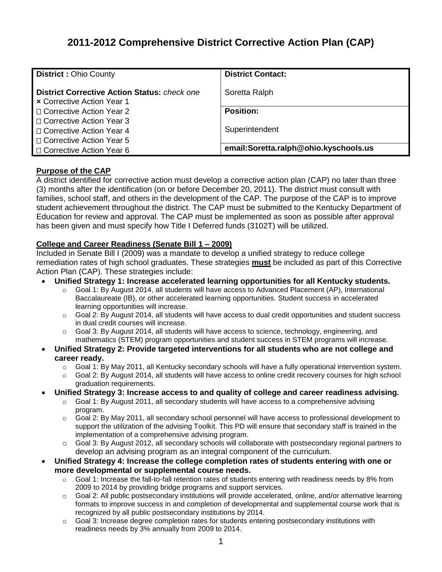# **2011-2012 Comprehensive District Corrective Action Plan (CAP)**

| <b>District: Ohio County</b>                                                             | <b>District Contact:</b>              |
|------------------------------------------------------------------------------------------|---------------------------------------|
| <b>District Corrective Action Status: check one</b><br><b>x</b> Corrective Action Year 1 | Soretta Ralph                         |
| □ Corrective Action Year 2                                                               | <b>Position:</b>                      |
| □ Corrective Action Year 3                                                               |                                       |
| □ Corrective Action Year 4                                                               | Superintendent                        |
| □ Corrective Action Year 5                                                               |                                       |
| □ Corrective Action Year 6                                                               | email:Soretta.ralph@ohio.kyschools.us |

## **Purpose of the CAP**

A district identified for corrective action must develop a corrective action plan (CAP) no later than three (3) months after the identification (on or before December 20, 2011). The district must consult with families, school staff, and others in the development of the CAP. The purpose of the CAP is to improve student achievement throughout the district. The CAP must be submitted to the Kentucky Department of Education for review and approval. The CAP must be implemented as soon as possible after approval has been given and must specify how Title I Deferred funds (3102T) will be utilized.

## **College and Career Readiness (Senate Bill 1 – 2009)**

Included in Senate Bill I (2009) was a mandate to develop a unified strategy to reduce college remediation rates of high school graduates. These strategies **must** be included as part of this Corrective Action Plan (CAP). These strategies include:

- **Unified Strategy 1: Increase accelerated learning opportunities for all Kentucky students.**
	- o Goal 1: By August 2014, all students will have access to Advanced Placement (AP), International Baccalaureate (IB), or other accelerated learning opportunities. Student success in accelerated learning opportunities will increase.
	- o Goal 2: By August 2014, all students will have access to dual credit opportunities and student success in dual credit courses will increase.
	- $\circ$  Goal 3: By August 2014, all students will have access to science, technology, engineering, and mathematics (STEM) program opportunities and student success in STEM programs will increase.
- **Unified Strategy 2: Provide targeted interventions for all students who are not college and career ready.**
	- $\circ$  Goal 1: By May 2011, all Kentucky secondary schools will have a fully operational intervention system.
	- o Goal 2: By August 2014, all students will have access to online credit recovery courses for high school graduation requirements.
- **Unified Strategy 3: Increase access to and quality of college and career readiness advising.**
	- o Goal 1: By August 2011, all secondary students will have access to a comprehensive advising program.
	- o Goal 2: By May 2011, all secondary school personnel will have access to professional development to support the utilization of the advising Toolkit. This PD will ensure that secondary staff is trained in the implementation of a comprehensive advising program.
	- o Goal 3: By August 2012, all secondary schools will collaborate with postsecondary regional partners to develop an advising program as an integral component of the curriculum.
- **Unified Strategy 4: Increase the college completion rates of students entering with one or more developmental or supplemental course needs.**
	- $\circ$  Goal 1: Increase the fall-to-fall retention rates of students entering with readiness needs by 8% from 2009 to 2014 by providing bridge programs and support services.
	- $\circ$  Goal 2: All public postsecondary institutions will provide accelerated, online, and/or alternative learning formats to improve success in and completion of developmental and supplemental course work that is recognized by all public postsecondary institutions by 2014.
	- o Goal 3: Increase degree completion rates for students entering postsecondary institutions with readiness needs by 3% annually from 2009 to 2014.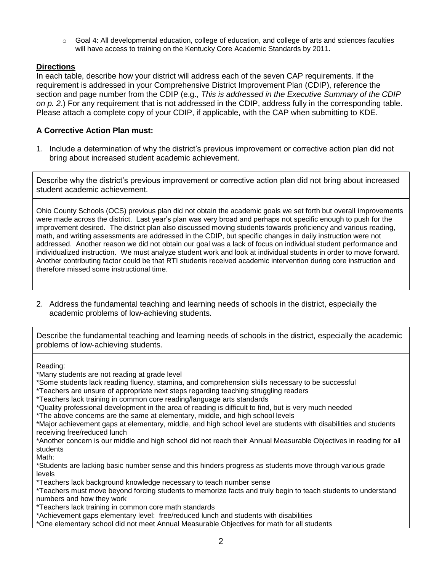$\circ$  Goal 4: All developmental education, college of education, and college of arts and sciences faculties will have access to training on the Kentucky Core Academic Standards by 2011.

## **Directions**

In each table, describe how your district will address each of the seven CAP requirements. If the requirement is addressed in your Comprehensive District Improvement Plan (CDIP), reference the section and page number from the CDIP (e.g., *This is addressed in the Executive Summary of the CDIP on p. 2*.) For any requirement that is not addressed in the CDIP, address fully in the corresponding table. Please attach a complete copy of your CDIP, if applicable, with the CAP when submitting to KDE.

## **A Corrective Action Plan must:**

1. Include a determination of why the district's previous improvement or corrective action plan did not bring about increased student academic achievement.

Describe why the district's previous improvement or corrective action plan did not bring about increased student academic achievement.

Ohio County Schools (OCS) previous plan did not obtain the academic goals we set forth but overall improvements were made across the district. Last year's plan was very broad and perhaps not specific enough to push for the improvement desired. The district plan also discussed moving students towards proficiency and various reading, math, and writing assessments are addressed in the CDIP, but specific changes in daily instruction were not addressed. Another reason we did not obtain our goal was a lack of focus on individual student performance and individualized instruction. We must analyze student work and look at individual students in order to move forward. Another contributing factor could be that RTI students received academic intervention during core instruction and therefore missed some instructional time.

2. Address the fundamental teaching and learning needs of schools in the district, especially the academic problems of low-achieving students.

Describe the fundamental teaching and learning needs of schools in the district, especially the academic problems of low-achieving students.

Reading:

\*Many students are not reading at grade level

\*Some students lack reading fluency, stamina, and comprehension skills necessary to be successful

\*Teachers are unsure of appropriate next steps regarding teaching struggling readers

\*Teachers lack training in common core reading/language arts standards

\*Quality professional development in the area of reading is difficult to find, but is very much needed

\*The above concerns are the same at elementary, middle, and high school levels

\*Major achievement gaps at elementary, middle, and high school level are students with disabilities and students receiving free/reduced lunch

\*Another concern is our middle and high school did not reach their Annual Measurable Objectives in reading for all students

Math:

\*Students are lacking basic number sense and this hinders progress as students move through various grade levels

\*Teachers lack background knowledge necessary to teach number sense

\*Teachers must move beyond forcing students to memorize facts and truly begin to teach students to understand numbers and how they work

\*Teachers lack training in common core math standards

\*Achievement gaps elementary level: free/reduced lunch and students with disabilities

\*One elementary school did not meet Annual Measurable Objectives for math for all students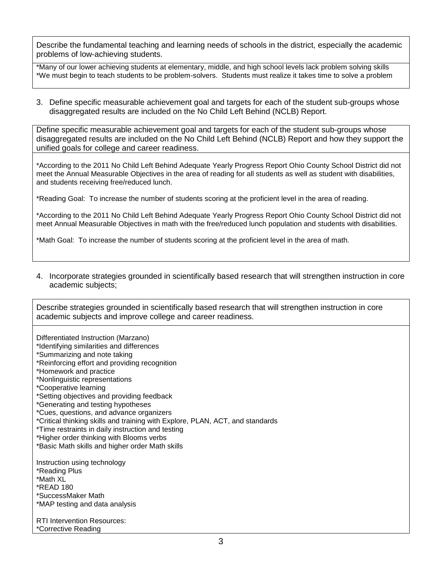Describe the fundamental teaching and learning needs of schools in the district, especially the academic problems of low-achieving students.

\*Many of our lower achieving students at elementary, middle, and high school levels lack problem solving skills \*We must begin to teach students to be problem-solvers. Students must realize it takes time to solve a problem

3. Define specific measurable achievement goal and targets for each of the student sub-groups whose disaggregated results are included on the No Child Left Behind (NCLB) Report.

Define specific measurable achievement goal and targets for each of the student sub-groups whose disaggregated results are included on the No Child Left Behind (NCLB) Report and how they support the unified goals for college and career readiness.

\*According to the 2011 No Child Left Behind Adequate Yearly Progress Report Ohio County School District did not meet the Annual Measurable Objectives in the area of reading for all students as well as student with disabilities, and students receiving free/reduced lunch.

\*Reading Goal: To increase the number of students scoring at the proficient level in the area of reading.

\*According to the 2011 No Child Left Behind Adequate Yearly Progress Report Ohio County School District did not meet Annual Measurable Objectives in math with the free/reduced lunch population and students with disabilities.

\*Math Goal: To increase the number of students scoring at the proficient level in the area of math.

4. Incorporate strategies grounded in scientifically based research that will strengthen instruction in core academic subjects;

Describe strategies grounded in scientifically based research that will strengthen instruction in core academic subjects and improve college and career readiness.

| Differentiated Instruction (Marzano)                                          |
|-------------------------------------------------------------------------------|
| *Identifying similarities and differences                                     |
| *Summarizing and note taking                                                  |
| *Reinforcing effort and providing recognition                                 |
| *Homework and practice                                                        |
| *Nonlinguistic representations                                                |
| *Cooperative learning                                                         |
| *Setting objectives and providing feedback                                    |
| *Generating and testing hypotheses                                            |
| *Cues, questions, and advance organizers                                      |
| *Critical thinking skills and training with Explore, PLAN, ACT, and standards |
| *Time restraints in daily instruction and testing                             |
| *Higher order thinking with Blooms verbs                                      |
| *Basic Math skills and higher order Math skills                               |
| Instruction using technology                                                  |
| *Reading Plus                                                                 |
| *Math XL                                                                      |
| *READ 180                                                                     |
| *SuccessMaker Math                                                            |
| *MAP testing and data analysis                                                |
| <b>RTI Intervention Resources:</b>                                            |
| *Corrective Reading                                                           |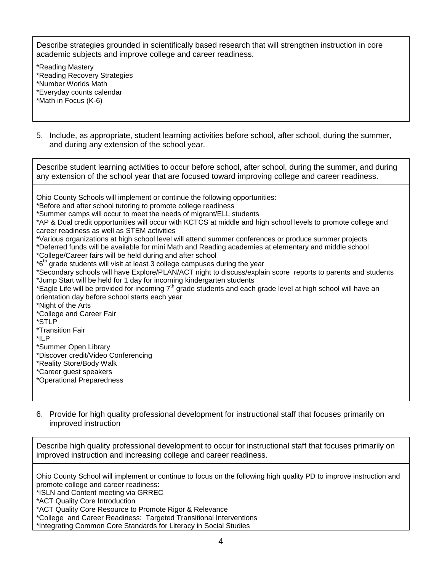Describe strategies grounded in scientifically based research that will strengthen instruction in core academic subjects and improve college and career readiness.

\*Reading Mastery \*Reading Recovery Strategies \*Number Worlds Math \*Everyday counts calendar \*Math in Focus (K-6)

5. Include, as appropriate, student learning activities before school, after school, during the summer, and during any extension of the school year.

Describe student learning activities to occur before school, after school, during the summer, and during any extension of the school year that are focused toward improving college and career readiness. Ohio County Schools will implement or continue the following opportunities: \*Before and after school tutoring to promote college readiness \*Summer camps will occur to meet the needs of migrant/ELL students \*AP & Dual credit opportunities will occur with KCTCS at middle and high school levels to promote college and career readiness as well as STEM activities \*Various organizations at high school level will attend summer conferences or produce summer projects \*Deferred funds will be available for mini Math and Reading academies at elementary and middle school \*College/Career fairs will be held during and after school \*6<sup>th</sup> grade students will visit at least 3 college campuses during the year \*Secondary schools will have Explore/PLAN/ACT night to discuss/explain score reports to parents and students \*Jump Start will be held for 1 day for incoming kindergarten students \*Eagle Life will be provided for incoming  $7<sup>th</sup>$  grade students and each grade level at high school will have an orientation day before school starts each year \*Night of the Arts \*College and Career Fair \*STLP \*Transition Fair \*ILP \*Summer Open Library \*Discover credit/Video Conferencing \*Reality Store/Body Walk \*Career guest speakers \*Operational Preparedness

6. Provide for high quality professional development for instructional staff that focuses primarily on improved instruction

Describe high quality professional development to occur for instructional staff that focuses primarily on improved instruction and increasing college and career readiness.

Ohio County School will implement or continue to focus on the following high quality PD to improve instruction and promote college and career readiness:

\*ISLN and Content meeting via GRREC

\*ACT Quality Core Introduction

\*ACT Quality Core Resource to Promote Rigor & Relevance

\*College and Career Readiness: Targeted Transitional Interventions

\*Integrating Common Core Standards for Literacy in Social Studies